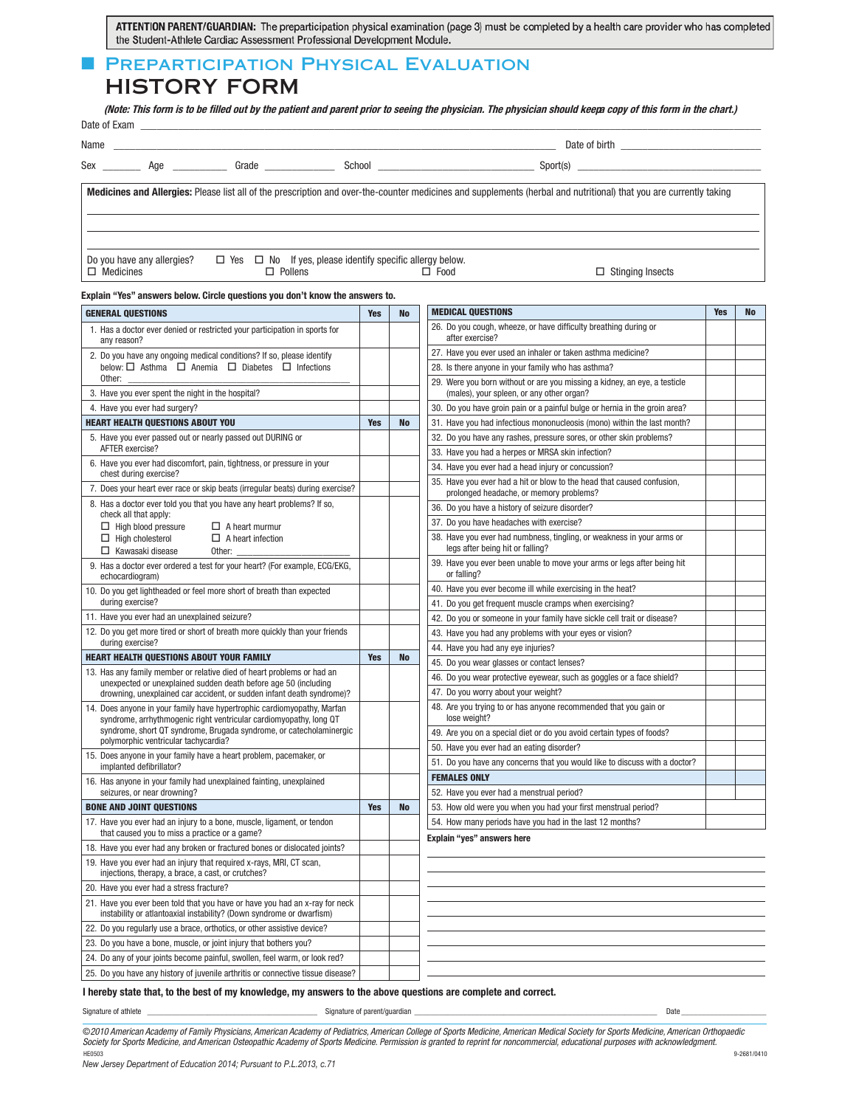ATTENTION PARENT/GUARDIAN: The preparticipation physical examination (page 3) must be completed by a health care provider who has completed the Student-Athlete Cardiac Assessment Professional Development Module.

# **FIREPARTICIPATION PHYSICAL EVALUATION**

HISTORY FORM

(Note: This form is to be filled out by the patient and parent prior to seeing the physician. The physician should keepa copy of this form in the chart.)

| Date of Exam |     |       |        |               |  |  |  |
|--------------|-----|-------|--------|---------------|--|--|--|
| Name         |     |       |        | Date of birth |  |  |  |
| Sex          | Age | Grade | School | Sport(s)      |  |  |  |

**Medicines and Allergies:** Please list all of the prescription and over-the-counter medicines and supplements (herbal and nutritional) that you are currently taking

Do you have any allergies?  $\Box$  Yes  $\Box$  No If yes, please identify specific allergy below.  $\Box$  Medicines  $\Box$  Pollens  $\Box$  Food  $\Box$  Stinging Insects

### **Explain "Yes" answers below. Circle questions you don't know the answers to.**

| <b>GENERAL QUESTIONS</b>                                                                                                                            | <b>Yes</b> | No        | <b>MEDICAL QUESTIONS</b>                                                                                               | <b>Yes</b> | No |
|-----------------------------------------------------------------------------------------------------------------------------------------------------|------------|-----------|------------------------------------------------------------------------------------------------------------------------|------------|----|
| 1. Has a doctor ever denied or restricted your participation in sports for<br>any reason?                                                           |            |           | 26. Do you cough, wheeze, or have difficulty breathing during or<br>after exercise?                                    |            |    |
| 2. Do you have any ongoing medical conditions? If so, please identify                                                                               |            |           | 27. Have you ever used an inhaler or taken asthma medicine?                                                            |            |    |
| below: $\Box$ Asthma $\Box$ Anemia $\Box$ Diabetes $\Box$ Infections                                                                                |            |           | 28. Is there anyone in your family who has asthma?                                                                     |            |    |
| Other:<br>3. Have you ever spent the night in the hospital?                                                                                         |            |           | 29. Were you born without or are you missing a kidney, an eye, a testicle<br>(males), your spleen, or any other organ? |            |    |
| 4. Have you ever had surgery?                                                                                                                       |            |           | 30. Do you have groin pain or a painful bulge or hernia in the groin area?                                             |            |    |
| <b>HEART HEALTH QUESTIONS ABOUT YOU</b>                                                                                                             | <b>Yes</b> | <b>No</b> | 31. Have you had infectious mononucleosis (mono) within the last month?                                                |            |    |
| 5. Have you ever passed out or nearly passed out DURING or                                                                                          |            |           | 32. Do you have any rashes, pressure sores, or other skin problems?                                                    |            |    |
| AFTER exercise?                                                                                                                                     |            |           | 33. Have you had a herpes or MRSA skin infection?                                                                      |            |    |
| 6. Have you ever had discomfort, pain, tightness, or pressure in your<br>chest during exercise?                                                     |            |           | 34. Have you ever had a head injury or concussion?                                                                     |            |    |
| 7. Does your heart ever race or skip beats (irregular beats) during exercise?                                                                       |            |           | 35. Have you ever had a hit or blow to the head that caused confusion,<br>prolonged headache, or memory problems?      |            |    |
| 8. Has a doctor ever told you that you have any heart problems? If so,<br>check all that apply:                                                     |            |           | 36. Do you have a history of seizure disorder?                                                                         |            |    |
| $\Box$ High blood pressure<br>$\Box$ A heart murmur                                                                                                 |            |           | 37. Do you have headaches with exercise?                                                                               |            |    |
| $\Box$ High cholesterol<br>$\Box$ A heart infection<br>$\Box$ Kawasaki disease<br>Other:                                                            |            |           | 38. Have you ever had numbness, tingling, or weakness in your arms or<br>legs after being hit or falling?              |            |    |
| 9. Has a doctor ever ordered a test for your heart? (For example, ECG/EKG,<br>echocardiogram)                                                       |            |           | 39. Have you ever been unable to move your arms or legs after being hit<br>or falling?                                 |            |    |
| 10. Do you get lightheaded or feel more short of breath than expected                                                                               |            |           | 40. Have you ever become ill while exercising in the heat?                                                             |            |    |
| during exercise?                                                                                                                                    |            |           | 41. Do you get frequent muscle cramps when exercising?                                                                 |            |    |
| 11. Have you ever had an unexplained seizure?                                                                                                       |            |           | 42. Do you or someone in your family have sickle cell trait or disease?                                                |            |    |
| 12. Do you get more tired or short of breath more quickly than your friends                                                                         |            |           | 43. Have you had any problems with your eyes or vision?                                                                |            |    |
| during exercise?                                                                                                                                    |            |           | 44. Have you had any eye injuries?                                                                                     |            |    |
| <b>HEART HEALTH QUESTIONS ABOUT YOUR FAMILY</b>                                                                                                     | Yes        | <b>No</b> | 45. Do you wear glasses or contact lenses?                                                                             |            |    |
| 13. Has any family member or relative died of heart problems or had an<br>unexpected or unexplained sudden death before age 50 (including           |            |           | 46. Do you wear protective eyewear, such as goggles or a face shield?                                                  |            |    |
| drowning, unexplained car accident, or sudden infant death syndrome)?                                                                               |            |           | 47. Do you worry about your weight?                                                                                    |            |    |
| 14. Does anyone in your family have hypertrophic cardiomyopathy, Marfan<br>syndrome, arrhythmogenic right ventricular cardiomyopathy, long QT       |            |           | 48. Are you trying to or has anyone recommended that you gain or<br>lose weight?                                       |            |    |
| syndrome, short QT syndrome, Brugada syndrome, or catecholaminergic<br>polymorphic ventricular tachycardia?                                         |            |           | 49. Are you on a special diet or do you avoid certain types of foods?                                                  |            |    |
| 15. Does anyone in your family have a heart problem, pacemaker, or                                                                                  |            |           | 50. Have you ever had an eating disorder?                                                                              |            |    |
| implanted defibrillator?                                                                                                                            |            |           | 51. Do you have any concerns that you would like to discuss with a doctor?                                             |            |    |
| 16. Has anyone in your family had unexplained fainting, unexplained                                                                                 |            |           | <b>FEMALES ONLY</b>                                                                                                    |            |    |
| seizures, or near drowning?                                                                                                                         |            |           | 52. Have you ever had a menstrual period?                                                                              |            |    |
| <b>BONE AND JOINT QUESTIONS</b>                                                                                                                     | <b>Yes</b> | No        | 53. How old were you when you had your first menstrual period?                                                         |            |    |
| 17. Have you ever had an injury to a bone, muscle, ligament, or tendon<br>that caused you to miss a practice or a game?                             |            |           | 54. How many periods have you had in the last 12 months?<br>Explain "yes" answers here                                 |            |    |
| 18. Have you ever had any broken or fractured bones or dislocated joints?                                                                           |            |           |                                                                                                                        |            |    |
| 19. Have you ever had an injury that required x-rays, MRI, CT scan,<br>injections, therapy, a brace, a cast, or crutches?                           |            |           |                                                                                                                        |            |    |
| 20. Have you ever had a stress fracture?                                                                                                            |            |           |                                                                                                                        |            |    |
| 21. Have you ever been told that you have or have you had an x-ray for neck<br>instability or atlantoaxial instability? (Down syndrome or dwarfism) |            |           |                                                                                                                        |            |    |
| 22. Do you regularly use a brace, orthotics, or other assistive device?                                                                             |            |           |                                                                                                                        |            |    |
| 23. Do you have a bone, muscle, or joint injury that bothers you?                                                                                   |            |           |                                                                                                                        |            |    |
| 24. Do any of your joints become painful, swollen, feel warm, or look red?                                                                          |            |           |                                                                                                                        |            |    |
| 25. Do you have any history of juvenile arthritis or connective tissue disease?                                                                     |            |           |                                                                                                                        |            |    |

#### **I hereby state that, to the best of my knowledge, my answers to the above questions are complete and correct.**

Signature of athlete \_\_\_\_\_\_\_\_\_\_\_\_\_\_\_\_\_\_\_\_\_\_\_\_\_\_\_\_\_\_\_\_\_\_\_\_\_\_\_\_\_\_ Signature of parent/guardian \_\_\_\_\_\_\_\_\_\_\_\_\_\_\_\_\_\_\_\_\_\_\_\_\_\_\_\_\_\_\_\_\_\_\_\_\_\_\_\_\_\_\_\_\_\_\_\_\_\_\_\_\_\_\_\_\_\_\_\_ Date \_\_\_\_\_\_\_\_\_\_\_\_\_\_\_\_\_\_\_\_\_

©2010 American Academy of Family Physicians, American Academy of Pediatrics, American College of Sports Medicine, American Medical Society for Sports Medicine, American Orthopaedic Society for Sports Medicine, and American Osteopathic Academy of Sports Medicine. Permission is granted to reprint for noncommercial, educational purposes with acknowledgment. HE0503 9-2681/0410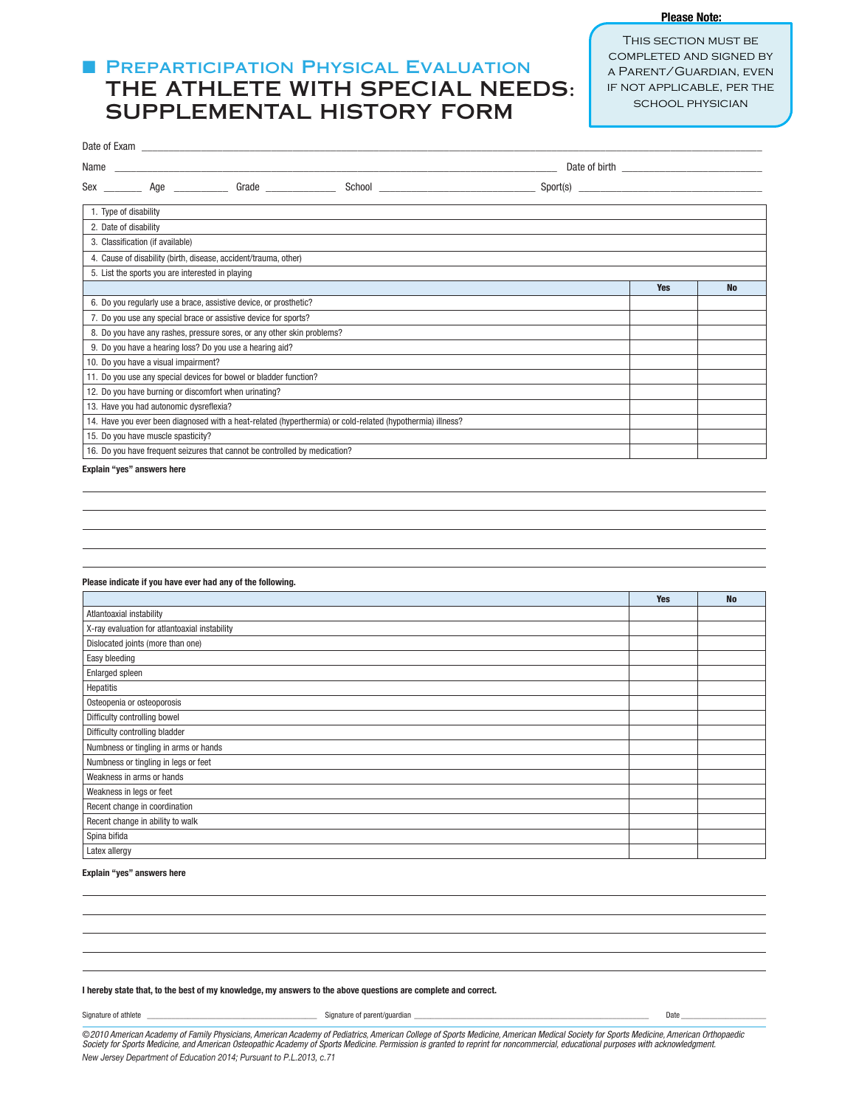## **FI PREPARTICIPATION PHYSICAL EVALUATION** THE ATHLETE WITH SPECIAL NEEDS: SUPPLEMENTAL HISTORY FORM

This section must be completed and signed by a Parent/Guardian, even if not applicable, per the school physician

**Please Note:**

| Name                                                                                                       |            |           |  |  |  |  |
|------------------------------------------------------------------------------------------------------------|------------|-----------|--|--|--|--|
| Grade                                                                                                      |            |           |  |  |  |  |
| 1. Type of disability                                                                                      |            |           |  |  |  |  |
| 2. Date of disability                                                                                      |            |           |  |  |  |  |
| 3. Classification (if available)                                                                           |            |           |  |  |  |  |
| 4. Cause of disability (birth, disease, accident/trauma, other)                                            |            |           |  |  |  |  |
| 5. List the sports you are interested in playing                                                           |            |           |  |  |  |  |
|                                                                                                            | <b>Yes</b> | <b>No</b> |  |  |  |  |
| 6. Do you regularly use a brace, assistive device, or prosthetic?                                          |            |           |  |  |  |  |
| 7. Do you use any special brace or assistive device for sports?                                            |            |           |  |  |  |  |
| 8. Do you have any rashes, pressure sores, or any other skin problems?                                     |            |           |  |  |  |  |
| 9. Do you have a hearing loss? Do you use a hearing aid?                                                   |            |           |  |  |  |  |
| 10. Do you have a visual impairment?                                                                       |            |           |  |  |  |  |
| 11. Do you use any special devices for bowel or bladder function?                                          |            |           |  |  |  |  |
| 12. Do you have burning or discomfort when urinating?                                                      |            |           |  |  |  |  |
| 13. Have you had autonomic dysreflexia?                                                                    |            |           |  |  |  |  |
| 14. Have you ever been diagnosed with a heat-related (hyperthermia) or cold-related (hypothermia) illness? |            |           |  |  |  |  |
| 15. Do you have muscle spasticity?                                                                         |            |           |  |  |  |  |
| 16. Do you have frequent seizures that cannot be controlled by medication?                                 |            |           |  |  |  |  |
|                                                                                                            |            |           |  |  |  |  |

**Explain "yes" answers here**

#### **Please indicate if you have ever had any of the following.**

|                                               | <b>Yes</b> | <b>No</b> |
|-----------------------------------------------|------------|-----------|
| Atlantoaxial instability                      |            |           |
| X-ray evaluation for atlantoaxial instability |            |           |
| Dislocated joints (more than one)             |            |           |
| Easy bleeding                                 |            |           |
| <b>Enlarged spleen</b>                        |            |           |
| Hepatitis                                     |            |           |
| Osteopenia or osteoporosis                    |            |           |
| Difficulty controlling bowel                  |            |           |
| Difficulty controlling bladder                |            |           |
| Numbness or tingling in arms or hands         |            |           |
| Numbness or tingling in legs or feet          |            |           |
| Weakness in arms or hands                     |            |           |
| Weakness in legs or feet                      |            |           |
| Recent change in coordination                 |            |           |
| Recent change in ability to walk              |            |           |
| Spina bifida                                  |            |           |
| Latex allergy                                 |            |           |

#### **Explain "yes" answers here**

Signature of athlete \_\_\_\_\_\_\_\_\_\_\_\_\_\_\_\_\_\_\_\_\_\_\_\_\_\_\_\_\_\_\_\_\_\_\_\_\_\_\_\_\_\_ Signature of parent/guardian \_\_\_\_\_\_\_\_\_\_\_\_\_\_\_\_\_\_\_\_\_\_\_\_\_\_\_\_\_\_\_\_\_\_\_\_\_\_\_\_\_\_\_\_\_\_\_\_\_\_\_\_\_\_\_\_\_\_ Date \_\_\_\_\_\_\_\_\_\_\_\_\_\_\_\_\_\_\_\_\_

**I hereby state that, to the best of my knowledge, my answers to the above questions are complete and correct.**

©2010 American Academy of Family Physicians, American Academy of Pediatrics, American College of Sports Medicine, American Medical Society for Sports Medicine, American Orthopaedic Society for Sports Medicine, and American Osteopathic Academy of Sports Medicine. Permission is granted to reprint for noncommercial, educational purposes with acknowledgment. New Jersey Department of Education 2014; Pursuant to P.L.2013, c.71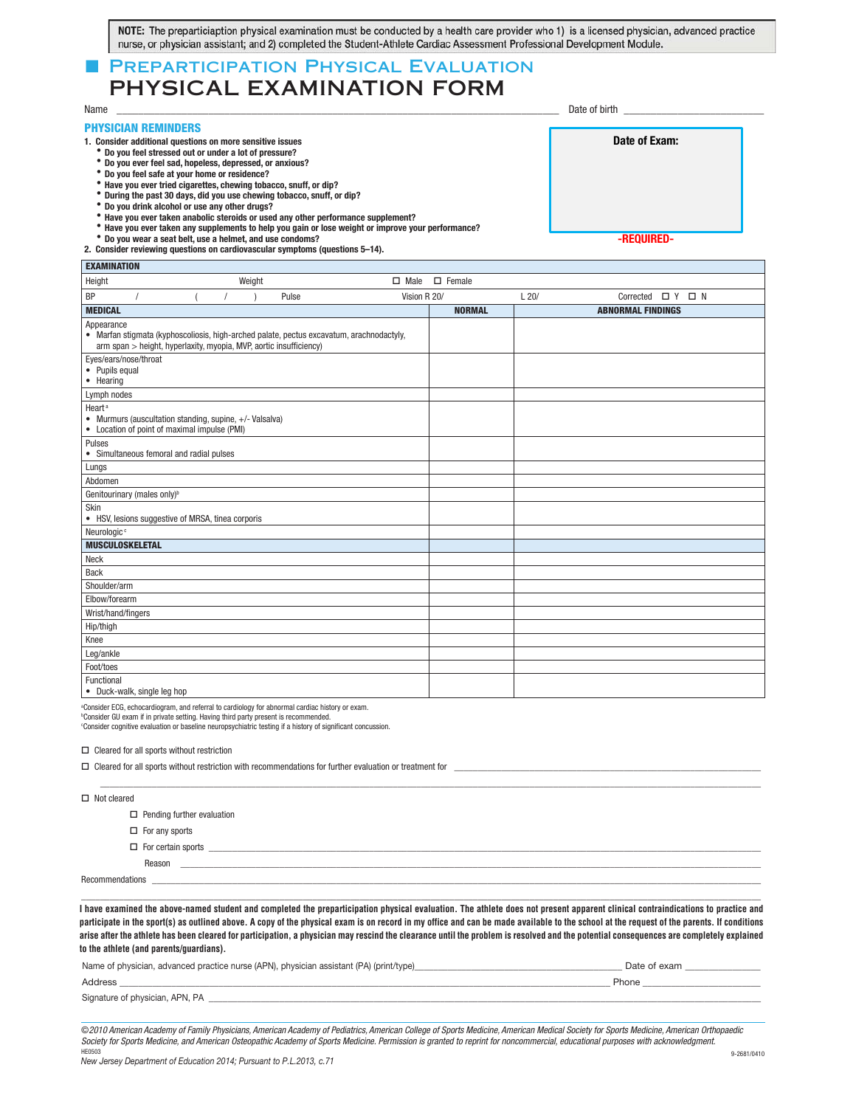| NOTE: The preparticiaption physical examination must be conducted by a health care provider who 1) is a licensed physician, advanced practice |  |
|-----------------------------------------------------------------------------------------------------------------------------------------------|--|
| nurse, or physician assistant; and 2) completed the Student-Athlete Cardiac Assessment Professional Development Module.                       |  |

## **PREPARTICIPATION PHYSICAL EVALUATION** PHYSICAL EXAMINATION FORM

| Name                                                      | Date of birth |  |  |
|-----------------------------------------------------------|---------------|--|--|
| <b>PHYSICIAN REMINDERS</b>                                |               |  |  |
| 1. Consider additional questions on more sensitive issues | Date of Exam: |  |  |
| * Do you feel stressed out or under a lot of pressure?    |               |  |  |
| 'Do you ever feel sad, hopeless, depressed, or anxious?   |               |  |  |
| bo vou feel safe at your home or residence?               |               |  |  |

- 
- Have you ever tried cigarettes, chewing tobacco, snuff, or dip?
- $\bullet$  During the past 30 days, did you use chewing tobacco, snuff, or dip?
- 
- \* Do you drink alcohol or use any other drugs?<br>\* Have you ever taken anabolic steroids or used any other performance supplement?
- $\degree$  Have you ever taken any supplements to help you gain or lose weight or improve your performance?<br> $\degree$  Do you wear a seat belt, use a helmet, and use condoms?
- 

2. Consider reviewing questions on cardiovascular symptoms (questions 5-14). **EXAMINATION**

| <b>EXAMINATION</b>                                                                                                                                                           |  |        |       |              |               |      |                             |  |  |
|------------------------------------------------------------------------------------------------------------------------------------------------------------------------------|--|--------|-------|--------------|---------------|------|-----------------------------|--|--|
| Height                                                                                                                                                                       |  | Weight |       | $\Box$ Male  | $\Box$ Female |      |                             |  |  |
| BP                                                                                                                                                                           |  |        | Pulse | Vision R 20/ |               | L20/ | Corrected $\Box$ Y $\Box$ N |  |  |
| <b>MEDICAL</b>                                                                                                                                                               |  |        |       |              | <b>NORMAL</b> |      | <b>ABNORMAL FINDINGS</b>    |  |  |
| Appearance<br>• Marfan stigmata (kyphoscoliosis, high-arched palate, pectus excavatum, arachnodactyly,<br>arm span > height, hyperlaxity, myopia, MVP, aortic insufficiency) |  |        |       |              |               |      |                             |  |  |
| Eyes/ears/nose/throat<br>• Pupils equal<br>• Hearing                                                                                                                         |  |        |       |              |               |      |                             |  |  |
| Lymph nodes                                                                                                                                                                  |  |        |       |              |               |      |                             |  |  |
| Heart <sup>a</sup><br>• Murmurs (auscultation standing, supine, +/- Valsalva)<br>• Location of point of maximal impulse (PMI)                                                |  |        |       |              |               |      |                             |  |  |
| Pulses<br>• Simultaneous femoral and radial pulses                                                                                                                           |  |        |       |              |               |      |                             |  |  |
| Lungs                                                                                                                                                                        |  |        |       |              |               |      |                             |  |  |
| Abdomen                                                                                                                                                                      |  |        |       |              |               |      |                             |  |  |
| Genitourinary (males only) <sup>b</sup>                                                                                                                                      |  |        |       |              |               |      |                             |  |  |
| Skin<br>• HSV, lesions suggestive of MRSA, tinea corporis                                                                                                                    |  |        |       |              |               |      |                             |  |  |
| Neurologic <sup>c</sup>                                                                                                                                                      |  |        |       |              |               |      |                             |  |  |
| <b>MUSCULOSKELETAL</b>                                                                                                                                                       |  |        |       |              |               |      |                             |  |  |
| Neck                                                                                                                                                                         |  |        |       |              |               |      |                             |  |  |
| <b>Back</b>                                                                                                                                                                  |  |        |       |              |               |      |                             |  |  |
| Shoulder/arm                                                                                                                                                                 |  |        |       |              |               |      |                             |  |  |
| Elbow/forearm                                                                                                                                                                |  |        |       |              |               |      |                             |  |  |
| Wrist/hand/fingers                                                                                                                                                           |  |        |       |              |               |      |                             |  |  |
| Hip/thigh                                                                                                                                                                    |  |        |       |              |               |      |                             |  |  |
| Knee                                                                                                                                                                         |  |        |       |              |               |      |                             |  |  |
| Leg/ankle                                                                                                                                                                    |  |        |       |              |               |      |                             |  |  |
| Foot/toes                                                                                                                                                                    |  |        |       |              |               |      |                             |  |  |
| Functional<br>• Duck-walk, single leg hop                                                                                                                                    |  |        |       |              |               |      |                             |  |  |

a Consider ECG, echocardiogram, and referral to cardiology for abnormal cardiac history or exam.

b Consider GU exam if in private setting. Having third party present is recommended. c Consider cognitive evaluation or baseline neuropsychiatric testing if a history of significant concussion.

 $\Box$  Cleared for all sports without restriction

| $\square$ Cleared for all sports without restriction with recommendations for further evaluation or treatment for $\square$ |  |  |  |  |  |
|-----------------------------------------------------------------------------------------------------------------------------|--|--|--|--|--|
|                                                                                                                             |  |  |  |  |  |
| $\Box$ Not cleared                                                                                                          |  |  |  |  |  |
| $\Box$ Pending further evaluation                                                                                           |  |  |  |  |  |
| $\Box$ For any sports                                                                                                       |  |  |  |  |  |
| $\Box$ For certain sports                                                                                                   |  |  |  |  |  |
| Reason                                                                                                                      |  |  |  |  |  |
| Recommendations                                                                                                             |  |  |  |  |  |

I have examined the above-named student and completed the preparticipation physical evaluation. The athlete does not present apparent clinical contraindications to practice and participate in the sport(s) as outlined above. A copy of the physical exam is on record in my office and can be made available to the school at the request of the parents. If conditions .<br>arise after the athlete has been cleared for participation, a physician may rescind the clearance until the problem is resolved and the potential consequences are completely explained **explained to the athlete (and parents/guardians). to the athlete (and parents/guardians).**

\_\_\_\_\_\_\_\_\_\_\_\_\_\_\_\_\_\_\_\_\_\_\_\_\_\_\_\_\_\_\_\_\_\_\_\_\_\_\_\_\_\_\_\_\_\_\_\_\_\_\_\_\_\_\_\_\_\_\_\_\_\_\_\_\_\_\_\_\_\_\_\_\_\_\_\_\_\_\_\_\_\_\_\_\_\_\_\_\_\_\_\_\_\_\_\_\_\_\_\_\_\_\_\_\_\_\_\_\_\_\_\_\_\_\_\_\_\_\_\_\_\_\_\_\_\_\_\_\_\_\_\_\_\_\_\_\_\_\_\_\_\_\_\_

| Name of physician, advanced practice nurse (APN), physician assistant (PA) (print/type) | Date of exam |
|-----------------------------------------------------------------------------------------|--------------|
| Address                                                                                 | Phone        |
| Signature of physician, APN, PA                                                         |              |

©2010 American Academy of Family Physicians, American Academy of Pediatrics, American College of Sports Medicine, American Medical Society for Sports Medicine, American Orthopaedic Society for Sports Medicine, and American Osteopathic Academy of Sports Medicine. Permission is granted to reprint for noncommercial, educational purposes with acknowledgment.<br>HEG503

**-REQUIRED-**